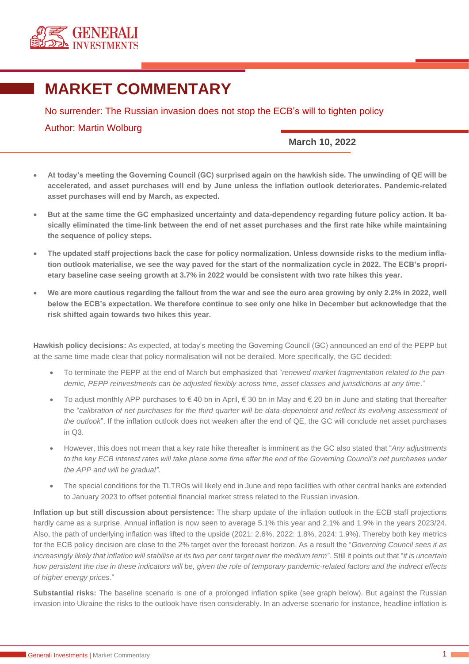

## **MARKET COMMENTARY**

No surrender: The Russian invasion does not stop the ECB's will to tighten policy

Author: Martin Wolburg

**March 10, 2022**

- **At today's meeting the Governing Council (GC) surprised again on the hawkish side. The unwinding of QE will be accelerated, and asset purchases will end by June unless the inflation outlook deteriorates. Pandemic-related asset purchases will end by March, as expected.**
- **But at the same time the GC emphasized uncertainty and data-dependency regarding future policy action. It basically eliminated the time-link between the end of net asset purchases and the first rate hike while maintaining the sequence of policy steps.**
- **The updated staff projections back the case for policy normalization. Unless downside risks to the medium inflation outlook materialise, we see the way paved for the start of the normalization cycle in 2022. The ECB's proprietary baseline case seeing growth at 3.7% in 2022 would be consistent with two rate hikes this year.**
- **We are more cautious regarding the fallout from the war and see the euro area growing by only 2.2% in 2022, well below the ECB's expectation. We therefore continue to see only one hike in December but acknowledge that the risk shifted again towards two hikes this year.**

**Hawkish policy decisions:** As expected, at today's meeting the Governing Council (GC) announced an end of the PEPP but at the same time made clear that policy normalisation will not be derailed. More specifically, the GC decided:

- To terminate the PEPP at the end of March but emphasized that "*renewed market fragmentation related to the pandemic, PEPP reinvestments can be adjusted flexibly across time, asset classes and jurisdictions at any time*."
- To adjust monthly APP purchases to  $\in$  40 bn in April,  $\in$  30 bn in May and  $\in$  20 bn in June and stating that thereafter the "*calibration of net purchases for the third quarter will be data-dependent and reflect its evolving assessment of the outlook*". If the inflation outlook does not weaken after the end of QE, the GC will conclude net asset purchases in Q3.
- However, this does not mean that a key rate hike thereafter is imminent as the GC also stated that "*Any adjustments*  to the key ECB interest rates will take place some time after the end of the Governing Council's net purchases under *the APP and will be gradual".*
- The special conditions for the TLTROs will likely end in June and repo facilities with other central banks are extended to January 2023 to offset potential financial market stress related to the Russian invasion.

**Inflation up but still discussion about persistence:** The sharp update of the inflation outlook in the ECB staff projections hardly came as a surprise. Annual inflation is now seen to average 5.1% this year and 2.1% and 1.9% in the years 2023/24. Also, the path of underlying inflation was lifted to the upside (2021: 2.6%, 2022: 1.8%, 2024: 1.9%). Thereby both key metrics for the ECB policy decision are close to the 2% target over the forecast horizon. As a result the "*Governing Council sees it as increasingly likely that inflation will stabilise at its two per cent target over the medium term*". Still it points out that "*it is uncertain how persistent the rise in these indicators will be, given the role of temporary pandemic-related factors and the indirect effects of higher energy prices*."

**Substantial risks:** The baseline scenario is one of a prolonged inflation spike (see graph below). But against the Russian invasion into Ukraine the risks to the outlook have risen considerably. In an adverse scenario for instance, headline inflation is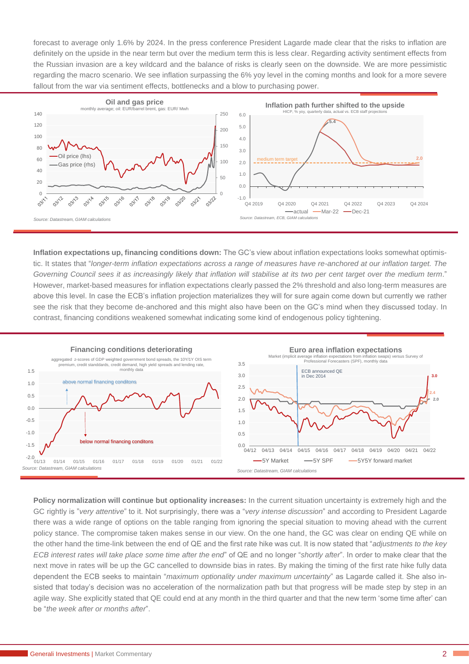forecast to average only 1.6% by 2024. In the press conference President Lagarde made clear that the risks to inflation are definitely on the upside in the near term but over the medium term this is less clear. Regarding activity sentiment effects from the Russian invasion are a key wildcard and the balance of risks is clearly seen on the downside. We are more pessimistic regarding the macro scenario. We see inflation surpassing the 6% yoy level in the coming months and look for a more severe fallout from the war via sentiment effects, bottlenecks and a blow to purchasing power.



**Inflation expectations up, financing conditions down:** The GC's view about inflation expectations looks somewhat optimistic. It states that "*longer-term inflation expectations across a range of measures have re-anchored at our inflation target. The Governing Council sees it as increasingly likely that inflation will stabilise at its two per cent target over the medium term*." However, market-based measures for inflation expectations clearly passed the 2% threshold and also long-term measures are above this level. In case the ECB's inflation projection materializes they will for sure again come down but currently we rather see the risk that they become de-anchored and this might also have been on the GC's mind when they discussed today. In contrast, financing conditions weakened somewhat indicating some kind of endogenous policy tightening.



**Policy normalization will continue but optionality increases:** In the current situation uncertainty is extremely high and the GC rightly is "*very attentive*" to it. Not surprisingly, there was a "*very intense discussion*" and according to President Lagarde there was a wide range of options on the table ranging from ignoring the special situation to moving ahead with the current policy stance. The compromise taken makes sense in our view. On the one hand, the GC was clear on ending QE while on the other hand the time-link between the end of QE and the first rate hike was cut. It is now stated that "*adjustments to the key ECB interest rates will take place some time after the end*" of QE and no longer "*shortly after*". In order to make clear that the next move in rates will be up the GC cancelled to downside bias in rates. By making the timing of the first rate hike fully data dependent the ECB seeks to maintain "*maximum optionality under maximum uncertainty*" as Lagarde called it. She also insisted that today's decision was no acceleration of the normalization path but that progress will be made step by step in an agile way. She explicitly stated that QE could end at any month in the third quarter and that the new term 'some time after' can be "*the week after or months after*".